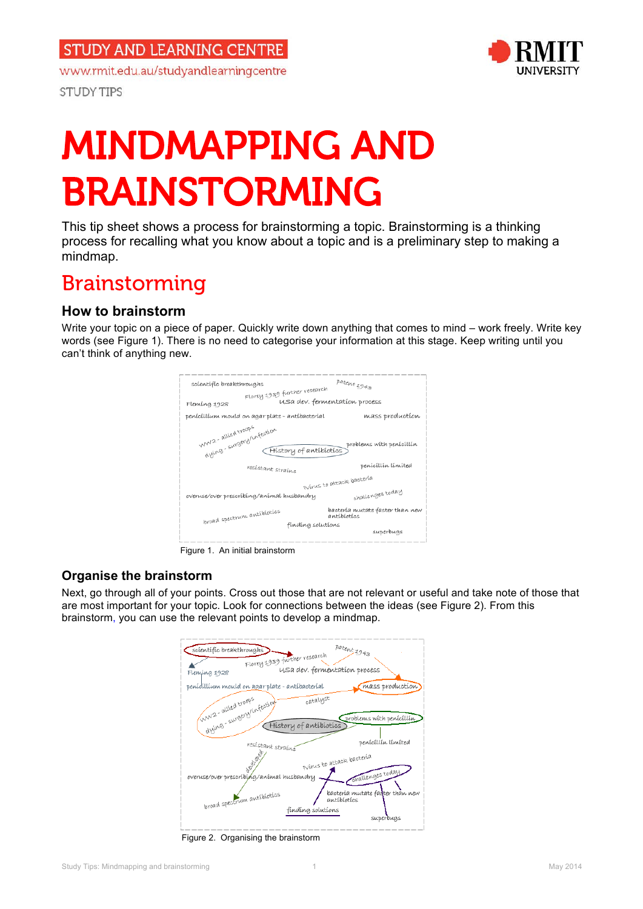www.rmit.edu.au/studyandlearningcentre

**STUDY TIPS** 



# MINDMAPPING AND BRAINSTORMING

 This tip sheet shows a process for brainstorming a topic. Brainstorming is a thinking process for recalling what you know about a topic and is a preliminary step to making a mindmap.

# Brainstorming

## **How to brainstorm**

 Write your topic on a piece of paper. Quickly write down anything that comes to mind – work freely. Write key words (see Figure 1). There is no need to categorise your information at this stage. Keep writing until you can't think of anything new.



Figure 1. An initial brainstorm

### **Organise the brainstorm**

 Next, go through all of your points. Cross out those that are not relevant or useful and take note of those that are most important for your topic. Look for connections between the ideas (see Figure 2). From this brainstorm, you can use the relevant points to develop a mindmap.



Figure 2. Organising the brainstorm